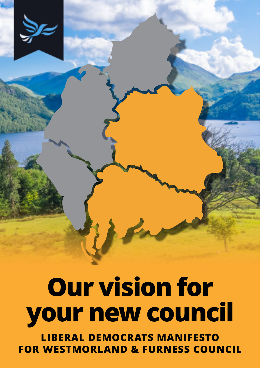**Our vision for your new council LIBERAL DEMOCRATS MANIFESTO FOR WESTMORLAND & FURNESS COUNCIL**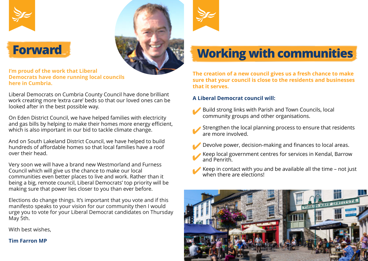





**I'm proud of the work that Liberal Democrats have done running local councils here in Cumbria.**

Liberal Democrats on Cumbria County Council have done brilliant work creating more 'extra care' beds so that our loved ones can be looked after in the best possible way.

On Eden District Council, we have helped families with electricity and gas bills by helping to make their homes more energy efficient, which is also important in our bid to tackle climate change.

And on South Lakeland District Council, we have helped to build hundreds of affordable homes so that local families have a roof over their head.

Very soon we will have a brand new Westmorland and Furness Council which will give us the chance to make our local communities even better places to live and work. Rather than it being a big, remote council, Liberal Democrats' top priority will be making sure that power lies closer to you than ever before.

Elections do change things. It's important that you vote and if this manifesto speaks to your vision for our community then I would urge you to vote for your Liberal Democrat candidates on Thursday May 5th.

With best wishes,

**Tim Farron MP**



**The creation of a new council gives us a fresh chance to make sure that your council is close to the residents and businesses that it serves.**

#### **A Liberal Democrat council will:**

✔

- Build strong links with Parish and Town Councils, local community groups and other organisations.
- Strengthen the local planning process to ensure that residents are more involved. ✔
- Devolve power, decision-making and finances to local areas. ✔
- Keep local government centres for services in Kendal, Barrow and Penrith. ✔
- Keep in contact with you and be available all the time not just when there are elections! ✔

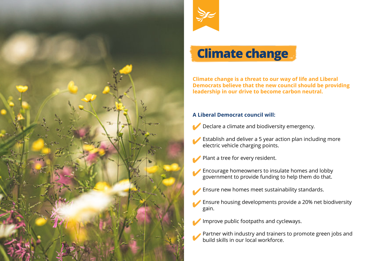



# **Climate change**

**Climate change is a threat to our way of life and Liberal Democrats believe that the new council should be providing leadership in our drive to become carbon neutral.**

- Declare a climate and biodiversity emergency. ✔
- Establish and deliver a 5 year action plan including more electric vehicle charging points. ✔
- Plant a tree for every resident. ✔
- Encourage homeowners to insulate homes and lobby government to provide funding to help them do that. ✔
- Ensure new homes meet sustainability standards. ✔
- Ensure housing developments provide a 20% net biodiversity gain. ✔
- Improve public footpaths and cycleways. ✔
	- Partner with industry and trainers to promote green jobs and build skills in our local workforce.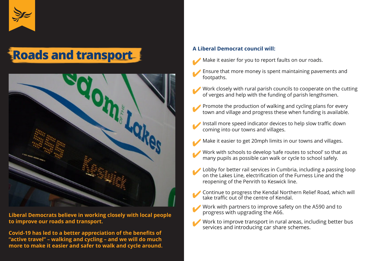

# **Roads and transport**



**Liberal Democrats believe in working closely with local people to improve our roads and transport.**

**Covid-19 has led to a better appreciation of the benefits of "active travel" – walking and cycling – and we will do much more to make it easier and safer to walk and cycle around.**

- Make it easier for you to report faults on our roads.
- Ensure that more money is spent maintaining pavements and footpaths. ✔
- Work closely with rural parish councils to cooperate on the cutting of verges and help with the funding of parish lengthsmen. ✔
- Promote the production of walking and cycling plans for every town and village and progress these when funding is available. ✔
- Install more speed indicator devices to help slow traffic down coming into our towns and villages. ✔
- Make it easier to get 20mph limits in our towns and villages. ✔
- Work with schools to develop 'safe routes to school' so that as many pupils as possible can walk or cycle to school safely. ✔
- Lobby for better rail services in Cumbria, including a passing loop on the Lakes Line, electrification of the Furness Line and the reopening of the Penrith to Keswick line. ✔
- Continue to progress the Kendal Northern Relief Road, which will take traffic out of the centre of Kendal. ✔
- Work with partners to improve safety on the A590 and to progress with upgrading the A66. ✔
	- Work to improve transport in rural areas, including better bus services and introducing car share schemes.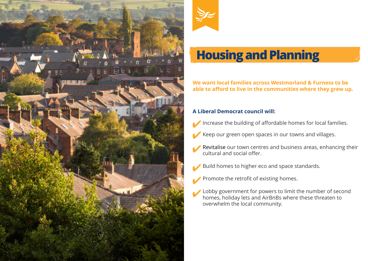



## **Housing and Planning**

**We want local families across Westmorland & Furness to be able to afford to live in the communities where they grew up.**

- Increase the building of affordable homes for local families. ✔
- Keep our green open spaces in our towns and villages. ✔
- Revitalise our town centres and business areas, enhancing their cultural and social offer. ✔
- Build homes to higher eco and space standards. ✔
- Promote the retrofit of existing homes. ✔
- Lobby government for powers to limit the number of second homes, holiday lets and AirBnBs where these threaten to overwhelm the local community. ✔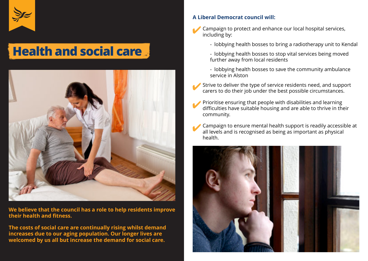

## **Health and social care**



**We believe that the council has a role to help residents improve their health and fitness.**

**The costs of social care are continually rising whilst demand increases due to our aging population. Our longer lives are welcomed by us all but increase the demand for social care.**

- Campaign to protect and enhance our local hospital services, including by: ✔
	- lobbying health bosses to bring a radiotherapy unit to Kendal
	- lobbying health bosses to stop vital services being moved further away from local residents
	- lobbying health bosses to save the community ambulance service in Alston
- Strive to deliver the type of service residents need, and support carers to do their job under the best possible circumstances. ✔
- Prioritise ensuring that people with disabilities and learning difficulties have suitable housing and are able to thrive in their community. ✔
- Campaign to ensure mental health support is readily accessible at all levels and is recognised as being as important as physical health. ✔

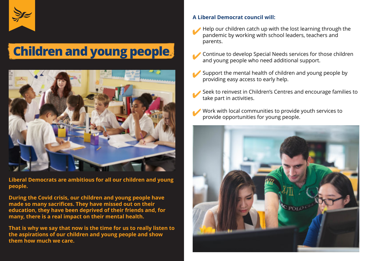

# **Children and young people**



**Liberal Democrats are ambitious for all our children and young people.**

**During the Covid crisis, our children and young people have made so many sacrifices. They have missed out on their education, they have been deprived of their friends and, for many, there is a real impact on their mental health.**

**That is why we say that now is the time for us to really listen to the aspirations of our children and young people and show them how much we care.**

- Help our children catch up with the lost learning through the pandemic by working with school leaders, teachers and parents. ✔
- Continue to develop Special Needs services for those children and young people who need additional support. ✔
- Support the mental health of children and young people by providing easy access to early help. ✔
- Seek to reinvest in Children's Centres and encourage families to take part in activities. ✔
- Work with local communities to provide youth services to provide opportunities for young people. ✔

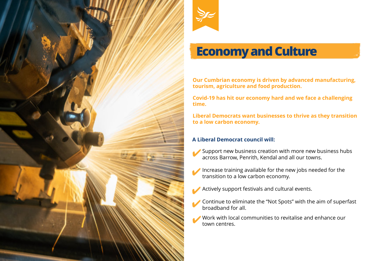



### **Economy and Culture**

**Our Cumbrian economy is driven by advanced manufacturing, tourism, agriculture and food production.**

**Covid-19 has hit our economy hard and we face a challenging time.**

**Liberal Democrats want businesses to thrive as they transition to a low carbon economy.**

- Support new business creation with more new business hubs across Barrow, Penrith, Kendal and all our towns. ✔
- Increase training available for the new jobs needed for the transition to a low carbon economy. ✔
- Actively support festivals and cultural events. ✔
- Continue to eliminate the "Not Spots" with the aim of superfast broadband for all. ✔
- Work with local communities to revitalise and enhance our town centres. ✔